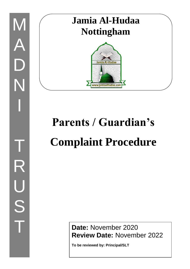## **Jamia Al-Hudaa Nottingham**



# **Parents / Guardian's Complaint Procedure**

**Date:** November 2020 **Review Date:** November 2022

**To be reviewed by: Principal/SLT**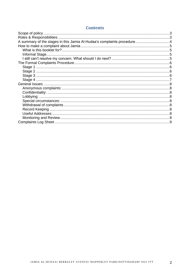#### **Contents**

| Roles & Responsibilities. |  |
|---------------------------|--|
|                           |  |
|                           |  |
|                           |  |
| Informal Stage            |  |
|                           |  |
|                           |  |
|                           |  |
|                           |  |
|                           |  |
|                           |  |
|                           |  |
|                           |  |
|                           |  |
|                           |  |
|                           |  |
|                           |  |
|                           |  |
|                           |  |
|                           |  |
|                           |  |
|                           |  |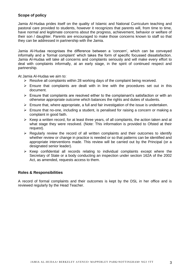#### <span id="page-2-0"></span>**Scope of policy**

Jamia Al-Hudaa prides itself on the quality of Islamic and National Curriculum teaching and pastoral care provided to students, however it recognizes that parents will, from time to time, have normal and legitimate concerns about the progress, achievement, behavior or welfare of their son / daughter. Parents are encouraged to make those concerns known to staff so that they can be addressed in partnership with the Jamia.

Jamia Al-Hudaa recognises the difference between a 'concern', which can be conveyed informally and a 'formal complaint' which takes the form of specific focussed dissatisfaction. Jamia Al-Hudaa will take all concerns and complaints seriously and will make every effort to deal with complaints informally, at an early stage, in the spirit of continued respect and partnership.

At Jamia Al-Hudaa we aim to:

- $\triangleright$  Resolve all complaints within 28 working days of the complaint being received.
- $\triangleright$  Ensure that complaints are dealt with in line with the procedures set out in this document.
- $\triangleright$  Ensure that complaints are resolved either to the complainant's satisfaction or with an otherwise appropriate outcome which balances the rights and duties of students.
- $\triangleright$  Ensure that, where appropriate, a full and fair investigation of the issue is undertaken.
- $\triangleright$  Ensure that no-one, including a student, is penalised for raising a concern or making a complaint in good faith.
- $\triangleright$  Keep a written record, for at least three years, of all complaints, the action taken and at what stage they were resolved. (Note: This information is provided to Ofsted at their request).
- $\triangleright$  Regularly review the record of all written complaints and their outcomes to identify whether review or change in practice is needed or so that patterns can be identified and appropriate interventions made. This review will be carried out by the Principal (or a designated senior leader).
- ➢ Keep confidential all records relating to individual complaints except where the Secretary of State or a body conducting an inspection under section 162A of the 2002 Act, as amended, requests access to them.

#### <span id="page-2-1"></span>**Roles & Responsibilities**

A record of formal complaints and their outcomes is kept by the DSL in her office and is reviewed regularly by the Head Teacher.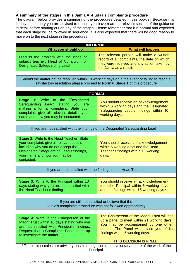#### <span id="page-3-0"></span>**A summary of the stages in this Jamia Al-Hudaa's complaints procedure**

The diagram below provides a summary of the procedures detailed in this booklet. Because this is only a summary you are advised to ensure you have read the relevant section of the guidance in detail before starting out on any of the stages. Please remember that it is normal and expected that each stage will be followed in sequence. It is also expected that there will be good reason to move on to the next stage in the procedures.

| <b>INFORMAL</b>                                                                                                                                                                                                                |                                                                                                                                                                                                                 |  |  |  |  |
|--------------------------------------------------------------------------------------------------------------------------------------------------------------------------------------------------------------------------------|-----------------------------------------------------------------------------------------------------------------------------------------------------------------------------------------------------------------|--|--|--|--|
| What you should do                                                                                                                                                                                                             | <b>What will happen</b>                                                                                                                                                                                         |  |  |  |  |
| Discuss the problem with the class or<br>subject teacher, Head of Curriculum or<br>Designated Safeguarding Lead.                                                                                                               | The relevant person will make a written<br>record of all complaints, the date on which<br>they were received and any action taken by<br>the Jamia as a result.                                                  |  |  |  |  |
|                                                                                                                                                                                                                                |                                                                                                                                                                                                                 |  |  |  |  |
| Should the matter not be resolved within 10 working days or in the event of failing to reach a<br>satisfactory resolution please proceed to Formal Stage 1 of this procedure                                                   |                                                                                                                                                                                                                 |  |  |  |  |
|                                                                                                                                                                                                                                |                                                                                                                                                                                                                 |  |  |  |  |
|                                                                                                                                                                                                                                | <b>FORMAL</b>                                                                                                                                                                                                   |  |  |  |  |
| <b>Stage 1:</b> Write to the "Designated<br>Safeguarding Lead"<br>stating<br>you<br>are<br>making a formal complaint. State your<br>complaint; give all relevant details, your<br>name and how you may be contacted.           | You should receive an acknowledgement<br>within 5 working days and the Designated<br>Safeguarding Lead's findings within 10<br>working days.                                                                    |  |  |  |  |
|                                                                                                                                                                                                                                |                                                                                                                                                                                                                 |  |  |  |  |
| If you are not satisfied with the findings of the Designated Safeguarding Lead                                                                                                                                                 |                                                                                                                                                                                                                 |  |  |  |  |
|                                                                                                                                                                                                                                |                                                                                                                                                                                                                 |  |  |  |  |
| <b>Stage 2: Write to the Head Teacher. State</b><br>your complaint; give all relevant details<br>including why you do not accept the<br>Designated Safeguarding Lead's findings,<br>your name and how you may be<br>contacted. | You should receive an acknowledgement<br>within 5 working days and the Head<br>Teacher's findings within 10 working<br>days.                                                                                    |  |  |  |  |
|                                                                                                                                                                                                                                |                                                                                                                                                                                                                 |  |  |  |  |
|                                                                                                                                                                                                                                | If you are not satisfied with the findings of the Head Teacher                                                                                                                                                  |  |  |  |  |
|                                                                                                                                                                                                                                |                                                                                                                                                                                                                 |  |  |  |  |
| <b>Stage 3: Write to the Principal within 10</b><br>days stating why you are not satisfied with<br>the Head Teacher's finding.                                                                                                 | You should receive an acknowledgement<br>from the Principal within 5 working days<br>and the findings within 15 working days.*                                                                                  |  |  |  |  |
|                                                                                                                                                                                                                                |                                                                                                                                                                                                                 |  |  |  |  |
| If you are still not satisfied or believe that the<br>Jamia's complaints procedure was not followed appropriately                                                                                                              |                                                                                                                                                                                                                 |  |  |  |  |
|                                                                                                                                                                                                                                |                                                                                                                                                                                                                 |  |  |  |  |
| <b>Stage 4: Write to the Chairperson of the</b><br>Madni Trust within 10 days stating why you<br>are not satisfied with Principal's findings.<br>Request that a Complaints Panel is set up<br>to investigate the matter.       | The Chairperson of the Madni Trust will set<br>up a panel to meet within 21 working days.<br>You may be accompanied by one other<br>person. The Panel will advise you of its<br>findings within 5 working days. |  |  |  |  |
|                                                                                                                                                                                                                                | <b>THIS DECISION IS FINAL</b>                                                                                                                                                                                   |  |  |  |  |
| * These timescales are advisory only in recognition of the voluntary nature of the work of the<br>Principal.                                                                                                                   |                                                                                                                                                                                                                 |  |  |  |  |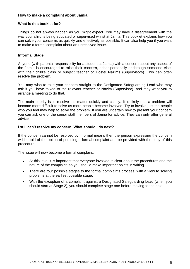#### <span id="page-4-0"></span>**How to make a complaint about Jamia**

#### <span id="page-4-1"></span>**What is this booklet for?**

Things do not always happen as you might expect. You may have a disagreement with the way your child is being educated or supervised whilst at Jamia. This booklet explains how you can solve your concerns as quickly and effectively as possible. It can also help you if you want to make a formal complaint about an unresolved issue.

#### <span id="page-4-2"></span>**Informal Stage**

Anyone (with parental responsibility for a student at Jamia) with a concern about any aspect of the Jamia is encouraged to raise their concern, either personally or through someone else, with their child's class or subject teacher or Hostel Nazims (Supervisors). This can often resolve the problem.

You may wish to take your concern straight to the Designated Safeguarding Lead who may ask if you have talked to the relevant teacher or Nazim (Supervisor), and may want you to arrange a meeting to do that.

The main priority is to resolve the matter quickly and calmly. It is likely that a problem will become more difficult to solve as more people become involved. Try to involve just the people who you feel may help to solve the problem. If you are uncertain how to present your concern you can ask one of the senior staff members of Jamia for advice. They can only offer general advice.

#### <span id="page-4-3"></span>**I still can't resolve my concern. What should I do next?**

If the concern cannot be resolved by informal means then the person expressing the concern will be told of the option of pursuing a formal complaint and be provided with the copy of this procedure.

The issue will now become a formal complaint.

- At this level it is important that everyone involved is clear about the procedures and the nature of the complaint, so you should make important points in writing.
- There are four possible stages to the formal complaints process, with a view to solving problems at the earliest possible stage.
- With the exception of a complaint against a Designated Safeguarding Lead (when you should start at Stage 2), you should complete stage one before moving to the next.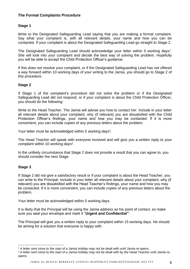#### <span id="page-5-0"></span>**The Formal Complaints Procedure**

#### <span id="page-5-1"></span>**Stage 1**

Write to the Designated Safeguarding Lead saying that you are making a formal complaint. Say what your complaint is, with all relevant details, your name and how you can be contacted. If your complaint is about the Designated Safeguarding Lead go straight to Stage 2.

The Designated Safeguarding Lead should acknowledge your letter within 5 working days<sup>1</sup>. She will look into your complaint and decide the best way of solving the problem. Hopefully you will be able to accept the Child Protection Officer's guidance.

If this does not resolve your complaint, or if the Designated Safeguarding Lead has not offered a way forward within 10 working days of your writing to the Jamia, you should go to Stage 2 of this procedure.

#### <span id="page-5-2"></span>**Stage 2**

If Stage 1 of the complaint's procedure did not solve the problem or if the Designated Safeguarding Lead did not respond, or if your complaint is about the Child Protection Officer, you should do the following:

Write to the Head Teacher. The Jamia will advise you how to contact her. Include in your letter all relevant details about your complaint, why (if relevant) you are dissatisfied with the Child Protection Officer's findings, your name and how you may be contacted. If it is more convenient, you can include copies of any previous letters about the problem.

Your letter must be acknowledged within 5 working days<sup>2</sup>.

The Head Teacher will speak with everyone involved and will give you a written reply to your complaint within 10 working days<sup>2</sup>.

In the unlikely circumstance that Stage 2 does not provide a result that you can agree to, you should consider the next Stage.

#### <span id="page-5-3"></span>**Stage 3**

If Stage 2 did not give a satisfactory result or if your complaint is about the Head Teacher, you can write to the Principal. Include in your letter all relevant details about your complaint, why (if relevant) you are dissatisfied with the Head Teacher's findings, your name and how you may be contacted. If it is more convenient, you can include copies of any previous letters about the problem.

Your letter must be acknowledged within 5 working days.

It is likely that the Principal will be using the Jamia address as his point of contact, so make sure you seal your envelope and mark it "**Urgent and Confidential"**.

The Principal will give you a written reply to your complaint within 15 working days. He should be aiming for a solution that everyone is happy with.

<sup>1</sup> *A letter sent close to the start of a Jamia holiday may not be dealt with until Jamia re-opens.* 

<sup>&</sup>lt;sup>2</sup> A letter sent close to the start of a Jamia holiday may not be dealt with by the Head Teacher until Jamia re*opens.*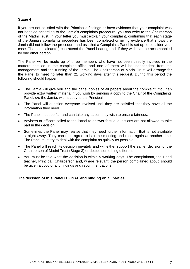#### <span id="page-6-0"></span>**Stage 4**

If you are not satisfied with the Principal's findings or have evidence that your complaint was not handled according to the Jamia's complaints procedure, you can write to the Chairperson of the Madni Trust. In your letter you must explain your complaint, confirming that each stage of the Jamia's complaints procedure has been completed or giving evidence that shows the Jamia did not follow the procedure and ask that a Complaints Panel is set up to consider your case. The complainant(s) can attend the Panel hearing and, if they wish can be accompanied by one other person.

The Panel will be made up of three members who have not been directly involved in the matters detailed in the complaint office and one of them will be independent from the management and the running of the Jamia. The Chairperson of Madni Trust will arrange for the Panel to meet no later than 21 working days after this request. During this period the following should happen:

- The Jamia will give you and the panel copies of all papers about the complaint. You can provide extra written material if you wish by sending a copy to the Chair of the Complaints Panel, c/o the Jamia, with a copy to the Principal.
- The Panel will question everyone involved until they are satisfied that they have all the information they need.
- The Panel must be fair and can take any action they wish to ensure fairness.
- Advisers or officers called to the Panel to answer factual questions are not allowed to take part in the decision.
- Sometimes the Panel may realise that they need further information that is not available straight away. They can then agree to halt the meeting and meet again at another time. The Panel must try to deal with the complaint as quickly as possible.
- The Panel will reach its decision privately and will either support the earlier decision of the Chairperson of Madni Trust (Stage 3) or decide something different.
- You must be told what the decision is within 5 working days. The complainant, the Head teacher, Principal, Chairperson and, where relevant, the person complained about, should be given a copy of any findings and recommendations.

#### **The decision of this Panel is FINAL and binding on all parties.**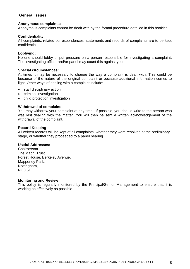#### <span id="page-7-0"></span>**General Issues**

#### <span id="page-7-1"></span>**Anonymous complaints:**

Anonymous complaints cannot be dealt with by the formal procedure detailed in this booklet.

#### <span id="page-7-2"></span>**Confidentiality:**

All complaints, related correspondences, statements and records of complaints are to be kept confidential.

#### <span id="page-7-3"></span>**Lobbying:**

No one should lobby or put pressure on a person responsible for investigating a complaint. The investigating officer and/or panel may count this against you.

#### <span id="page-7-4"></span>**Special circumstances:**

At times it may be necessary to change the way a complaint is dealt with. This could be because of the nature of the original complaint or because additional information comes to light. Other ways of dealing with a complaint include:

- staff disciplinary action
- criminal investigation
- child protection investigation

#### <span id="page-7-5"></span>**Withdrawal of complaints**

You may withdraw your complaint at any time. If possible, you should write to the person who was last dealing with the matter. You will then be sent a written acknowledgement of the withdrawal of the complaint.

#### <span id="page-7-6"></span>**Record Keeping**

All written records will be kept of all complaints, whether they were resolved at the preliminary stage, or whether they proceeded to a panel hearing.

#### <span id="page-7-7"></span>**Useful Addresses:**

**Chairperson** The Madni Trust Forest House, Berkeley Avenue, Mapperley Park, Nottingham, NG3 5TT

#### <span id="page-7-8"></span>**Monitoring and Review**

This policy is regularly monitored by the Principal/Senior Management to ensure that it is working as effectively as possible.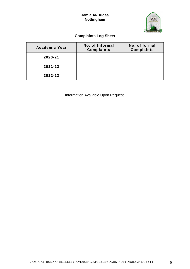#### **Jamia Al-Hudaa Nottingham**



#### **Complaints Log Sheet**

<span id="page-8-0"></span>

| <b>Academic Year</b> | No. of Informal<br><b>Complaints</b> | No. of formal<br>Complaints |
|----------------------|--------------------------------------|-----------------------------|
| 2020-21              |                                      |                             |
| 2021-22              |                                      |                             |
| 2022-23              |                                      |                             |

Information Available Upon Request.